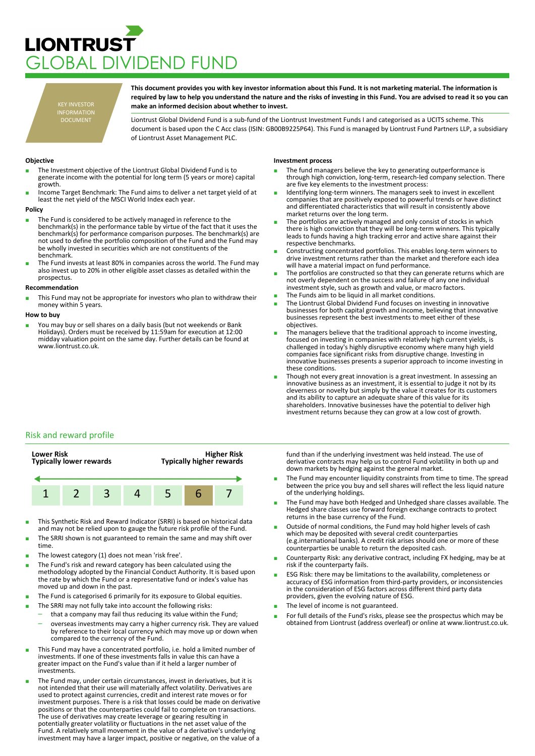## **LIONTRUST** LOBAL DIVIDEND FUND

KEY INVESTOR INFORMATION DOCUMENT

**This document provides you with key investor information about this Fund. It is not marketing material. The information is required by law to help you understand the nature and the risks of investing in this Fund. You are advised to read it so you can make an informed decision about whether to invest.**

Liontrust Global Dividend Fund is a sub-fund of the Liontrust Investment Funds I and categorised as a UCITS scheme. This document is based upon the C Acc class (ISIN: GB00B9225P64). This Fund is managed by Liontrust Fund Partners LLP, a subsidiary of Liontrust Asset Management PLC.

### **Objective**

- The Investment objective of the Liontrust Global Dividend Fund is to generate income with the potential for long term (5 years or more) capital growth.
- Income Target Benchmark: The Fund aims to deliver a net target vield of at least the net yield of the MSCI World Index each year.

#### **Policy**

- The Fund is considered to be actively managed in reference to the benchmark(s) in the performance table by virtue of the fact that it uses the benchmark(s) for performance comparison purposes. The benchmark(s) are not used to define the portfolio composition of the Fund and the Fund may be wholly invested in securities which are not constituents of the benchmark.
- The Fund invests at least 80% in companies across the world. The Fund may also invest up to 20% in other eligible asset classes as detailed within the prospectus

#### **Recommendation**

This Fund may not be appropriate for investors who plan to withdraw their money within 5 years.

#### **How to buy**

You may buy or sell shares on a daily basis (but not weekends or Bank Holidays). Orders must be received by 11:59am for execution at 12:00 midday valuation point on the same day. Further details can be found at www.liontrust.co.uk.

#### **Investment process**

- The fund managers believe the key to generating outperformance is through high conviction, long-term, research-led company selection. There are five key elements to the investment process:
- Identifying long-term winners. The managers seek to invest in excellent companies that are positively exposed to powerful trends or have distinct and differentiated characteristics that will result in consistently above market returns over the long term.
- The portfolios are actively managed and only consist of stocks in which there is high conviction that they will be long-term winners. This typically leads to funds having a high tracking error and active share against their respective benchmarks.
- Constructing concentrated portfolios. This enables long-term winners to drive investment returns rather than the market and therefore each idea will have a material impact on fund performance.
- The portfolios are constructed so that they can generate returns which are not overly dependent on the success and failure of any one individual investment style, such as growth and value, or macro factors.
- The Funds aim to be liquid in all market conditions.
- The Liontrust Global Dividend Fund focuses on investing in innovative businesses for both capital growth and income, believing that innovative businesses represent the best investments to meet either of these objectives.
- The managers believe that the traditional approach to income investing, focused on investing in companies with relatively high current yields, is challenged in today's highly disruptive economy where many high yield companies face significant risks from disruptive change. Investing in innovative businesses presents a superior approach to income investing in these conditions.
- Though not every great innovation is a great investment. In assessing an innovative business as an investment, it is essential to judge it not by its cleverness or novelty but simply by the value it creates for its customers and its ability to capture an adequate share of this value for its shareholders. Innovative businesses have the potential to deliver high investment returns because they can grow at a low cost of growth.

### Risk and reward profile



- This Synthetic Risk and Reward Indicator (SRRI) is based on historical data and may not be relied upon to gauge the future risk profile of the Fund.
- The SRRI shown is not guaranteed to remain the same and may shift over time.
- The lowest category (1) does not mean 'risk free'.
- The Fund's risk and reward category has been calculated using the methodology adopted by the Financial Conduct Authority. It is based upon the rate by which the Fund or a representative fund or index's value has moved up and down in the past.
- The Fund is categorised 6 primarily for its exposure to Global equities.
- The SRRI may not fully take into account the following risks:
	- that a company may fail thus reducing its value within the Fund;
	- overseas investments may carry a higher currency risk. They are valued by reference to their local currency which may move up or down when compared to the currency of the Fund.
- This Fund may have a concentrated portfolio, i.e. hold a limited number of investments. If one of these investments falls in value this can have a greater impact on the Fund's value than if it held a larger number of investments.
- The Fund may, under certain circumstances, invest in derivatives, but it is not intended that their use will materially affect volatility. Derivatives are used to protect against currencies, credit and interest rate moves or for investment purposes. There is a risk that losses could be made on derivative positions or that the counterparties could fail to complete on transactions. The use of derivatives may create leverage or gearing resulting in potentially greater volatility or fluctuations in the net asset value of the Fund. A relatively small movement in the value of a derivative's underlying investment may have a larger impact, positive or negative, on the value of a

fund than if the underlying investment was held instead. The use of derivative contracts may help us to control Fund volatility in both up and down markets by hedging against the general market.

- The Fund may encounter liquidity constraints from time to time. The spread between the price you buy and sell shares will reflect the less liquid nature of the underlying holdings.
- The Fund may have both Hedged and Unhedged share classes available. The Hedged share classes use forward foreign exchange contracts to protect returns in the base currency of the Fund.
- Outside of normal conditions, the Fund may hold higher levels of cash which may be deposited with several credit counterparties (e.g.international banks). A credit risk arises should one or more of these counterparties be unable to return the deposited cash.
- Counterparty Risk: any derivative contract, including FX hedging, may be at risk if the counterparty fails.
- ESG Risk: there may be limitations to the availability, completeness or accuracy of ESG information from third-party providers, or inconsistencies in the consideration of ESG factors across different third party data providers, given the evolving nature of ESG.
- The level of income is not guaranteed.
- For full details of the Fund's risks, please see the prospectus which may be obtained from Liontrust (address overleaf) or online at www.liontrust.co.uk.